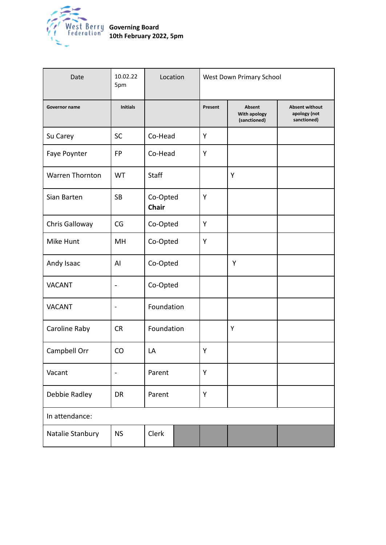

| Date                   | 10.02.22<br>5pm          | Location                 | West Down Primary School |                                        |                                                      |
|------------------------|--------------------------|--------------------------|--------------------------|----------------------------------------|------------------------------------------------------|
| Governor name          | <b>Initials</b>          |                          | Present                  | Absent<br>With apology<br>(sanctioned) | <b>Absent without</b><br>apology (not<br>sanctioned) |
| Su Carey               | <b>SC</b>                | Co-Head                  | Y                        |                                        |                                                      |
| Faye Poynter           | <b>FP</b>                | Co-Head                  | Y                        |                                        |                                                      |
| <b>Warren Thornton</b> | <b>WT</b>                | Staff                    |                          | Y                                      |                                                      |
| Sian Barten            | <b>SB</b>                | Co-Opted<br><b>Chair</b> | Y                        |                                        |                                                      |
| Chris Galloway         | CG                       | Co-Opted                 | Υ                        |                                        |                                                      |
| Mike Hunt              | MH                       | Co-Opted                 | Y                        |                                        |                                                      |
| Andy Isaac             | AI                       | Co-Opted                 |                          | Υ                                      |                                                      |
| <b>VACANT</b>          | $\overline{\phantom{0}}$ | Co-Opted                 |                          |                                        |                                                      |
| <b>VACANT</b>          | $\overline{\phantom{a}}$ | Foundation               |                          |                                        |                                                      |
| Caroline Raby          | <b>CR</b>                | Foundation               |                          | Υ                                      |                                                      |
| Campbell Orr           | CO                       | LA                       | Υ                        |                                        |                                                      |
| Vacant                 | $\blacksquare$           | Parent                   | Υ                        |                                        |                                                      |
| Debbie Radley          | DR                       | Parent                   | Υ                        |                                        |                                                      |
| In attendance:         |                          |                          |                          |                                        |                                                      |
| Natalie Stanbury       | <b>NS</b>                | Clerk                    |                          |                                        |                                                      |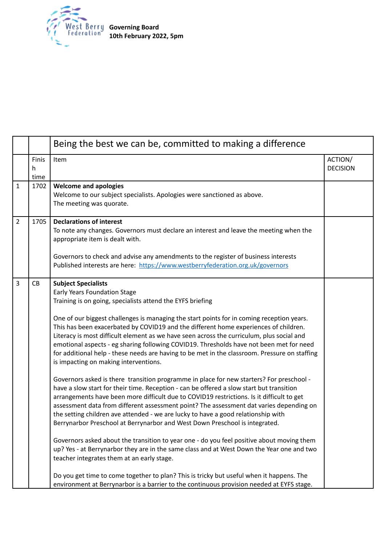

|                |                    | Being the best we can be, committed to making a difference                                                                                                                                                                                                                                                                                                                                                                                                                                                                                                                                                                                                                                                                                                                                                                                                                                                                                                                                                                                                                                                                                                                                                                                                                                                                                                                                                                                                                                                                                                                                                                           |                            |  |
|----------------|--------------------|--------------------------------------------------------------------------------------------------------------------------------------------------------------------------------------------------------------------------------------------------------------------------------------------------------------------------------------------------------------------------------------------------------------------------------------------------------------------------------------------------------------------------------------------------------------------------------------------------------------------------------------------------------------------------------------------------------------------------------------------------------------------------------------------------------------------------------------------------------------------------------------------------------------------------------------------------------------------------------------------------------------------------------------------------------------------------------------------------------------------------------------------------------------------------------------------------------------------------------------------------------------------------------------------------------------------------------------------------------------------------------------------------------------------------------------------------------------------------------------------------------------------------------------------------------------------------------------------------------------------------------------|----------------------------|--|
|                | Finis<br>h<br>time | Item                                                                                                                                                                                                                                                                                                                                                                                                                                                                                                                                                                                                                                                                                                                                                                                                                                                                                                                                                                                                                                                                                                                                                                                                                                                                                                                                                                                                                                                                                                                                                                                                                                 | ACTION/<br><b>DECISION</b> |  |
| 1              | 1702               | <b>Welcome and apologies</b><br>Welcome to our subject specialists. Apologies were sanctioned as above.<br>The meeting was quorate.                                                                                                                                                                                                                                                                                                                                                                                                                                                                                                                                                                                                                                                                                                                                                                                                                                                                                                                                                                                                                                                                                                                                                                                                                                                                                                                                                                                                                                                                                                  |                            |  |
| $\overline{2}$ | 1705               | <b>Declarations of interest</b><br>To note any changes. Governors must declare an interest and leave the meeting when the<br>appropriate item is dealt with.<br>Governors to check and advise any amendments to the register of business interests<br>Published interests are here: https://www.westberryfederation.org.uk/governors                                                                                                                                                                                                                                                                                                                                                                                                                                                                                                                                                                                                                                                                                                                                                                                                                                                                                                                                                                                                                                                                                                                                                                                                                                                                                                 |                            |  |
| 3              | CB                 | <b>Subject Specialists</b><br>Early Years Foundation Stage<br>Training is on going, specialists attend the EYFS briefing<br>One of our biggest challenges is managing the start points for in coming reception years.<br>This has been exacerbated by COVID19 and the different home experiences of children.<br>Literacy is most difficult element as we have seen across the curriculum, plus social and<br>emotional aspects - eg sharing following COVID19. Thresholds have not been met for need<br>for additional help - these needs are having to be met in the classroom. Pressure on staffing<br>is impacting on making interventions.<br>Governors asked is there transition programme in place for new starters? For preschool -<br>have a slow start for their time. Reception - can be offered a slow start but transition<br>arrangements have been more difficult due to COVID19 restrictions. Is it difficult to get<br>assessment data from different assessment point? The assessment dat varies depending on<br>the setting children ave attended - we are lucky to have a good relationship with<br>Berrynarbor Preschool at Berrynarbor and West Down Preschool is integrated.<br>Governors asked about the transition to year one - do you feel positive about moving them<br>up? Yes - at Berrynarbor they are in the same class and at West Down the Year one and two<br>teacher integrates them at an early stage.<br>Do you get time to come together to plan? This is tricky but useful when it happens. The<br>environment at Berrynarbor is a barrier to the continuous provision needed at EYFS stage. |                            |  |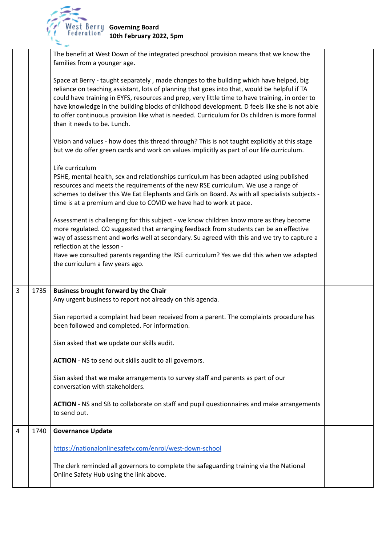

|   |      | The benefit at West Down of the integrated preschool provision means that we know the<br>families from a younger age.                                                                                                                                                                                                                                                                                                                                                                                                     |  |
|---|------|---------------------------------------------------------------------------------------------------------------------------------------------------------------------------------------------------------------------------------------------------------------------------------------------------------------------------------------------------------------------------------------------------------------------------------------------------------------------------------------------------------------------------|--|
|   |      | Space at Berry - taught separately, made changes to the building which have helped, big<br>reliance on teaching assistant, lots of planning that goes into that, would be helpful if TA<br>could have training in EYFS, resources and prep, very little time to have training, in order to<br>have knowledge in the building blocks of childhood development. D feels like she is not able<br>to offer continuous provision like what is needed. Curriculum for Ds children is more formal<br>than it needs to be. Lunch. |  |
|   |      | Vision and values - how does this thread through? This is not taught explicitly at this stage<br>but we do offer green cards and work on values implicitly as part of our life curriculum.                                                                                                                                                                                                                                                                                                                                |  |
|   |      | Life curriculum<br>PSHE, mental health, sex and relationships curriculum has been adapted using published<br>resources and meets the requirements of the new RSE curriculum. We use a range of<br>schemes to deliver this We Eat Elephants and Girls on Board. As with all specialists subjects -<br>time is at a premium and due to COVID we have had to work at pace.                                                                                                                                                   |  |
|   |      | Assessment is challenging for this subject - we know children know more as they become<br>more regulated. CO suggested that arranging feedback from students can be an effective<br>way of assessment and works well at secondary. Su agreed with this and we try to capture a<br>reflection at the lesson -                                                                                                                                                                                                              |  |
|   |      | Have we consulted parents regarding the RSE curriculum? Yes we did this when we adapted<br>the curriculum a few years ago.                                                                                                                                                                                                                                                                                                                                                                                                |  |
| 3 | 1735 | <b>Business brought forward by the Chair</b>                                                                                                                                                                                                                                                                                                                                                                                                                                                                              |  |
|   |      | Any urgent business to report not already on this agenda.                                                                                                                                                                                                                                                                                                                                                                                                                                                                 |  |
|   |      | Sian reported a complaint had been received from a parent. The complaints procedure has<br>been followed and completed. For information.                                                                                                                                                                                                                                                                                                                                                                                  |  |
|   |      | Sian asked that we update our skills audit.                                                                                                                                                                                                                                                                                                                                                                                                                                                                               |  |
|   |      | ACTION - NS to send out skills audit to all governors.                                                                                                                                                                                                                                                                                                                                                                                                                                                                    |  |
|   |      | Sian asked that we make arrangements to survey staff and parents as part of our<br>conversation with stakeholders.                                                                                                                                                                                                                                                                                                                                                                                                        |  |
|   |      | ACTION - NS and SB to collaborate on staff and pupil questionnaires and make arrangements<br>to send out.                                                                                                                                                                                                                                                                                                                                                                                                                 |  |
| 4 | 1740 | <b>Governance Update</b>                                                                                                                                                                                                                                                                                                                                                                                                                                                                                                  |  |
|   |      | https://nationalonlinesafety.com/enrol/west-down-school                                                                                                                                                                                                                                                                                                                                                                                                                                                                   |  |
|   |      | The clerk reminded all governors to complete the safeguarding training via the National<br>Online Safety Hub using the link above.                                                                                                                                                                                                                                                                                                                                                                                        |  |
|   |      |                                                                                                                                                                                                                                                                                                                                                                                                                                                                                                                           |  |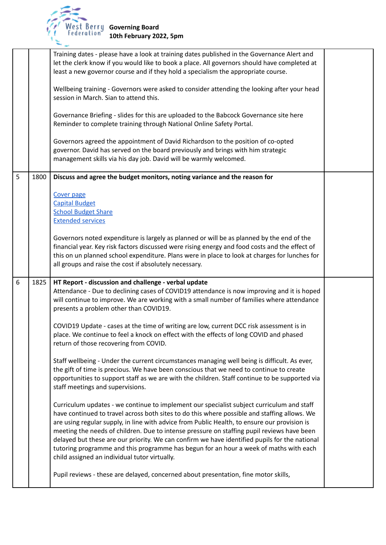

|   |      | Training dates - please have a look at training dates published in the Governance Alert and<br>let the clerk know if you would like to book a place. All governors should have completed at<br>least a new governor course and if they hold a specialism the appropriate course.                                                                                                                                                                                                                                                                                                                                                   |  |
|---|------|------------------------------------------------------------------------------------------------------------------------------------------------------------------------------------------------------------------------------------------------------------------------------------------------------------------------------------------------------------------------------------------------------------------------------------------------------------------------------------------------------------------------------------------------------------------------------------------------------------------------------------|--|
|   |      | Wellbeing training - Governors were asked to consider attending the looking after your head<br>session in March. Sian to attend this.                                                                                                                                                                                                                                                                                                                                                                                                                                                                                              |  |
|   |      | Governance Briefing - slides for this are uploaded to the Babcock Governance site here<br>Reminder to complete training through National Online Safety Portal.                                                                                                                                                                                                                                                                                                                                                                                                                                                                     |  |
|   |      | Governors agreed the appointment of David Richardson to the position of co-opted<br>governor. David has served on the board previously and brings with him strategic<br>management skills via his day job. David will be warmly welcomed.                                                                                                                                                                                                                                                                                                                                                                                          |  |
| 5 | 1800 | Discuss and agree the budget monitors, noting variance and the reason for                                                                                                                                                                                                                                                                                                                                                                                                                                                                                                                                                          |  |
|   |      | Cover page<br><b>Capital Budget</b><br><b>School Budget Share</b><br><b>Extended services</b>                                                                                                                                                                                                                                                                                                                                                                                                                                                                                                                                      |  |
|   |      | Governors noted expenditure is largely as planned or will be as planned by the end of the<br>financial year. Key risk factors discussed were rising energy and food costs and the effect of<br>this on un planned school expenditure. Plans were in place to look at charges for lunches for<br>all groups and raise the cost if absolutely necessary.                                                                                                                                                                                                                                                                             |  |
| 6 | 1825 | HT Report - discussion and challenge - verbal update<br>Attendance - Due to declining cases of COVID19 attendance is now improving and it is hoped<br>will continue to improve. We are working with a small number of families where attendance<br>presents a problem other than COVID19.                                                                                                                                                                                                                                                                                                                                          |  |
|   |      | COVID19 Update - cases at the time of writing are low, current DCC risk assessment is in<br>place. We continue to feel a knock on effect with the effects of long COVID and phased<br>return of those recovering from COVID.                                                                                                                                                                                                                                                                                                                                                                                                       |  |
|   |      | Staff wellbeing - Under the current circumstances managing well being is difficult. As ever,<br>the gift of time is precious. We have been conscious that we need to continue to create<br>opportunities to support staff as we are with the children. Staff continue to be supported via<br>staff meetings and supervisions.                                                                                                                                                                                                                                                                                                      |  |
|   |      | Curriculum updates - we continue to implement our specialist subject curriculum and staff<br>have continued to travel across both sites to do this where possible and staffing allows. We<br>are using regular supply, in line with advice from Public Health, to ensure our provision is<br>meeting the needs of children. Due to intense pressure on staffing pupil reviews have been<br>delayed but these are our priority. We can confirm we have identified pupils for the national<br>tutoring programme and this programme has begun for an hour a week of maths with each<br>child assigned an individual tutor virtually. |  |
|   |      | Pupil reviews - these are delayed, concerned about presentation, fine motor skills,                                                                                                                                                                                                                                                                                                                                                                                                                                                                                                                                                |  |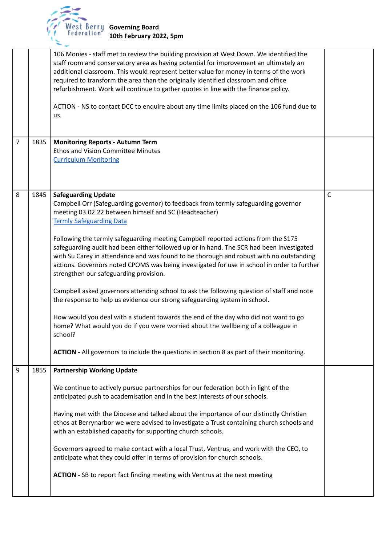

|                |      | 106 Monies - staff met to review the building provision at West Down. We identified the<br>staff room and conservatory area as having potential for improvement an ultimately an<br>additional classroom. This would represent better value for money in terms of the work<br>required to transform the area than the originally identified classroom and office<br>refurbishment. Work will continue to gather quotes in line with the finance policy.<br>ACTION - NS to contact DCC to enquire about any time limits placed on the 106 fund due to<br>us.                                                                                                                                                                                                                                                                                                                                                                                                                                                                                                                                      |             |
|----------------|------|--------------------------------------------------------------------------------------------------------------------------------------------------------------------------------------------------------------------------------------------------------------------------------------------------------------------------------------------------------------------------------------------------------------------------------------------------------------------------------------------------------------------------------------------------------------------------------------------------------------------------------------------------------------------------------------------------------------------------------------------------------------------------------------------------------------------------------------------------------------------------------------------------------------------------------------------------------------------------------------------------------------------------------------------------------------------------------------------------|-------------|
| $\overline{7}$ | 1835 | <b>Monitoring Reports - Autumn Term</b><br><b>Ethos and Vision Committee Minutes</b><br><b>Curriculum Monitoring</b>                                                                                                                                                                                                                                                                                                                                                                                                                                                                                                                                                                                                                                                                                                                                                                                                                                                                                                                                                                             |             |
| 8              | 1845 | <b>Safeguarding Update</b><br>Campbell Orr (Safeguarding governor) to feedback from termly safeguarding governor<br>meeting 03.02.22 between himself and SC (Headteacher)<br><b>Termly Safeguarding Data</b><br>Following the termly safeguarding meeting Campbell reported actions from the S175<br>safeguarding audit had been either followed up or in hand. The SCR had been investigated<br>with Su Carey in attendance and was found to be thorough and robust with no outstanding<br>actions. Governors noted CPOMS was being investigated for use in school in order to further<br>strengthen our safeguarding provision.<br>Campbell asked governors attending school to ask the following question of staff and note<br>the response to help us evidence our strong safeguarding system in school.<br>How would you deal with a student towards the end of the day who did not want to go<br>home? What would you do if you were worried about the wellbeing of a colleague in<br>school?<br>ACTION - All governors to include the questions in section 8 as part of their monitoring. | $\mathsf C$ |
| 9              | 1855 | <b>Partnership Working Update</b><br>We continue to actively pursue partnerships for our federation both in light of the<br>anticipated push to academisation and in the best interests of our schools.<br>Having met with the Diocese and talked about the importance of our distinctly Christian<br>ethos at Berrynarbor we were advised to investigate a Trust containing church schools and<br>with an established capacity for supporting church schools.<br>Governors agreed to make contact with a local Trust, Ventrus, and work with the CEO, to<br>anticipate what they could offer in terms of provision for church schools.<br>ACTION - SB to report fact finding meeting with Ventrus at the next meeting                                                                                                                                                                                                                                                                                                                                                                           |             |